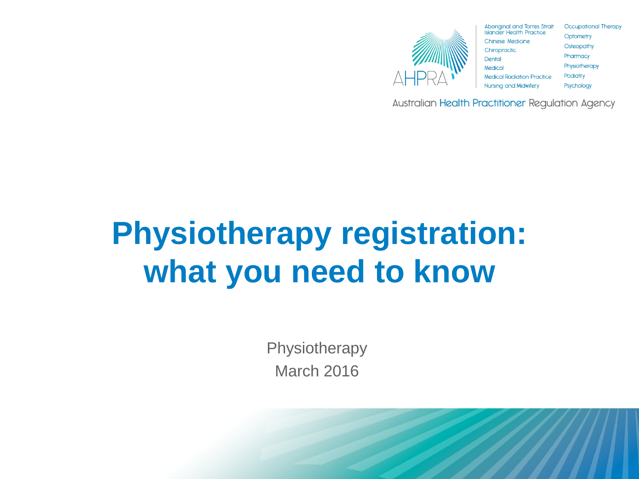

| <b>Aboriginal and Torres Strait</b>          | <b>Occupational Therapy</b> |
|----------------------------------------------|-----------------------------|
| <b>Islander Health Practice</b>              | Optometry                   |
| Chinese Medicine                             | <b>Osteopathy</b>           |
| Chiropractic                                 | Pharmacy                    |
| Dental                                       | Physiotherapy               |
| Medical<br><b>Medical Radiation Practice</b> | Podiatry                    |
| <b>Nursing and Midwifery</b>                 | Psychology                  |
|                                              |                             |

Australian Health Practitioner Regulation Agency

# **Physiotherapy registration: what you need to know**

**Physiotherapy** March 2016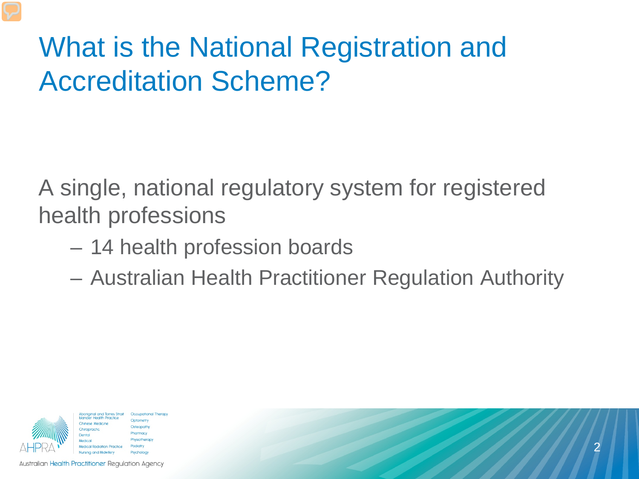### What is the National Registration and Accreditation Scheme?

A single, national regulatory system for registered health professions

- 14 health profession boards
- Australian Health Practitioner Regulation Authority



**Occupational Therapy** harmacy hysiotherap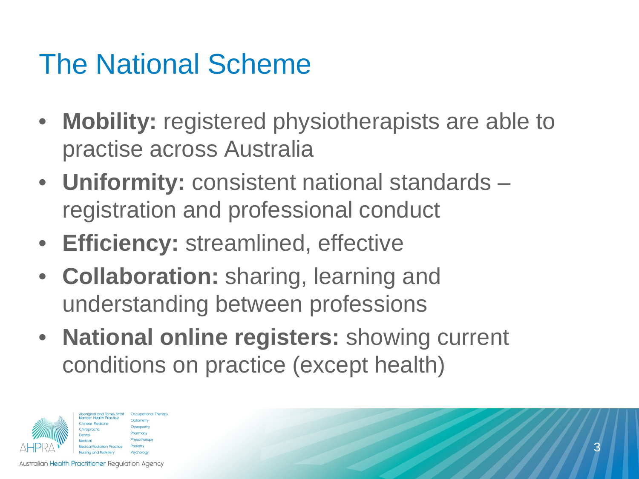### The National Scheme

- **Mobility:** registered physiotherapists are able to practise across Australia
- **Uniformity:** consistent national standards registration and professional conduct
- **Efficiency:** streamlined, effective
- **Collaboration:** sharing, learning and understanding between professions
- **National online registers:** showing current conditions on practice (except health)

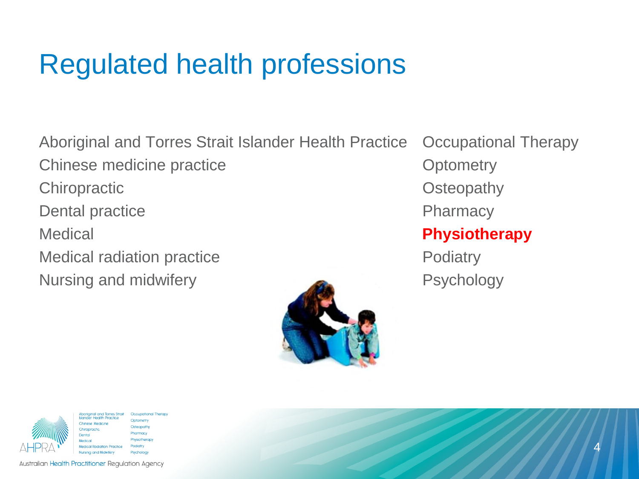### Regulated health professions

Aboriginal and Torres Strait Islander Health Practice Occupational Therapy Chinese medicine practice **Chinese Medicine practice Chinese Medicine in the Chinese Medicine in the Chinese Medicine in the Chinese Medicine in the Chinese Medicine in the Chinese Medicine in the Chinese Medicine in the** Chiropractic Chiropractic Chiropractic Chiropractic Chiropractic Chiropractic Chiropractic Chiropractic Chiropractic Chiropractic Chiropractic Chiropractic Chiropractic Chiropractic Chiropractic Chiropractic Chiropractic C Dental practice **Pharmacy** Medical **Physiotherapy** Medical radiation practice **Podiatry** Podiatry Nursing and midwifery **Psychology** 





iriainal and Torres Strait **Occupational Therapy Health Practice** Optometry Osteopath Pharmacy hysiotherapy **Podiatry** Nursing and Midwifery Psychology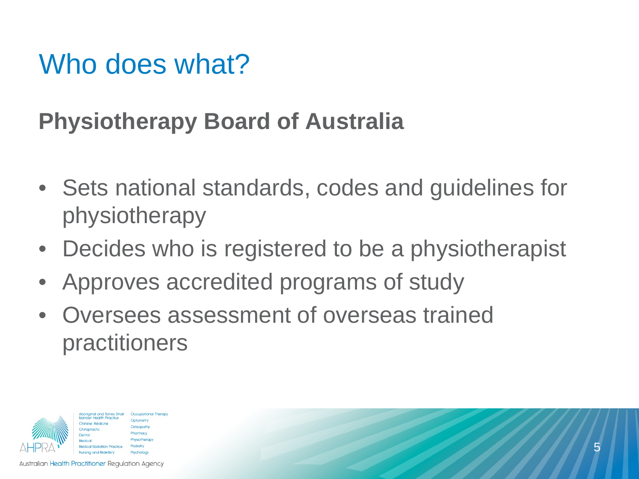#### Who does what?

#### **Physiotherapy Board of Australia**

- Sets national standards, codes and guidelines for physiotherapy
- Decides who is registered to be a physiotherapist
- Approves accredited programs of study
- Oversees assessment of overseas trained practitioners

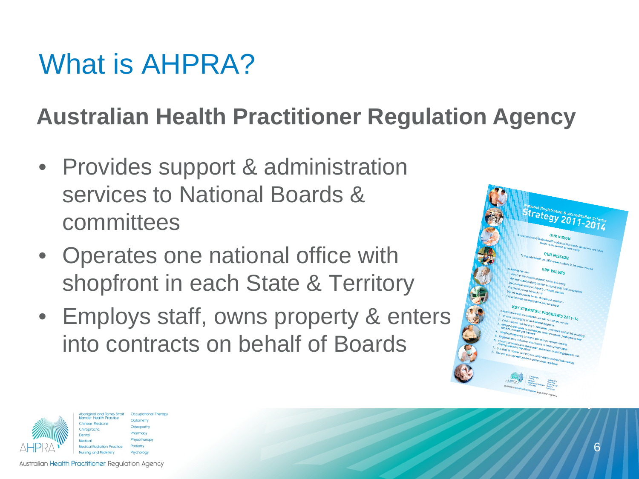### What is AHPRA?

#### **Australian Health Practitioner Regulation Agency**

- Provides support & administration services to National Boards & committees
- Operates one national office with shopfront in each State & Territory
- Employs staff, owns property & enters into contracts on behalf of Boards





harmacy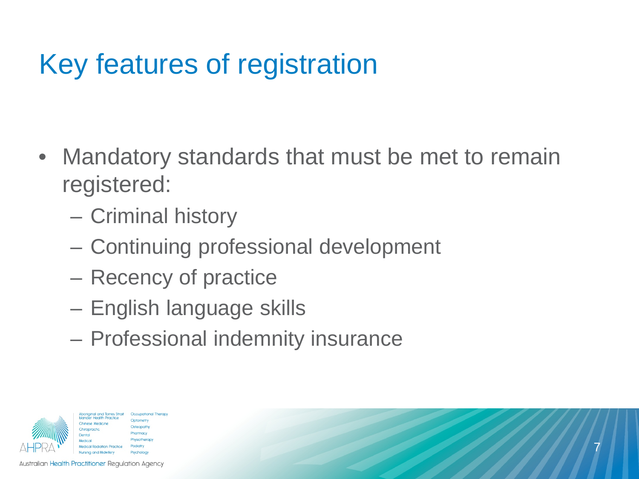## Key features of registration

- Mandatory standards that must be met to remain registered:
	- Criminal history
	- Continuing professional development
	- Recency of practice
	- English language skills
	- Professional indemnity insurance

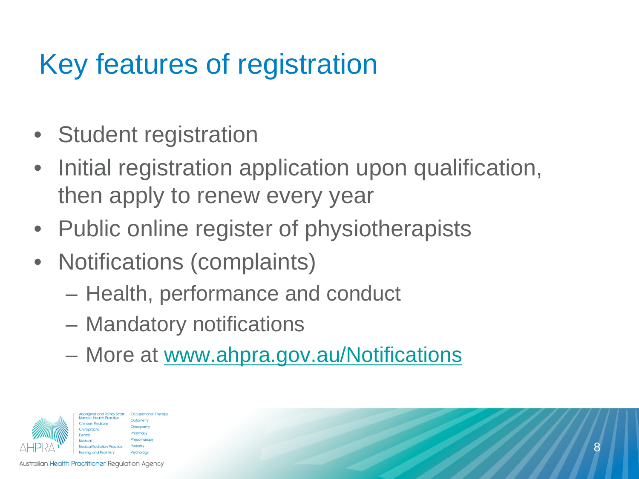### Key features of registration

- Student registration
- Initial registration application upon qualification, then apply to renew every year
- Public online register of physiotherapists
- Notifications (complaints)
	- Health, performance and conduct
	- Mandatory notifications
	- More at [www.ahpra.gov.au/Notifications](http://www.ahpra.gov.au/Notifications.aspx)

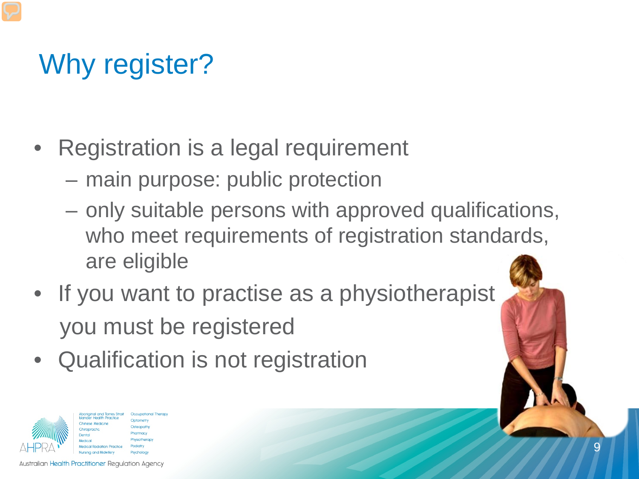## Why register?

- Registration is a legal requirement
	- main purpose: public protection
	- only suitable persons with approved qualifications, who meet requirements of registration standards, are eligible
- If you want to practise as a physiotherapist you must be registered
- Qualification is not registration

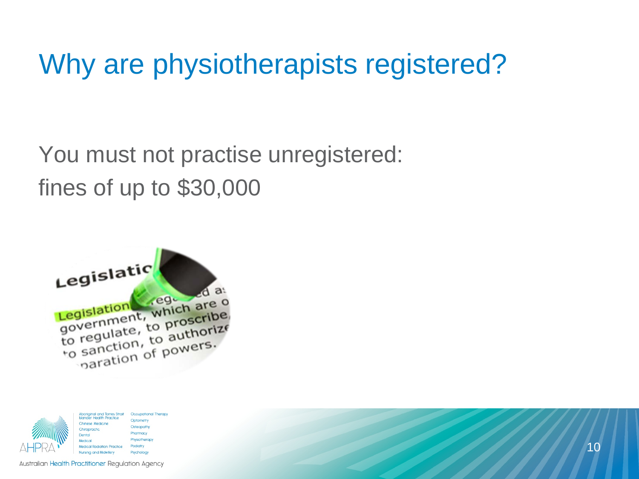### Why are physiotherapists registered?

You must not practise unregistered: fines of up to \$30,000



**Occupational Therapy** 

wcholog

| Aboriginal and Torres Strait<br><b>Islander Health Practice</b> |  |
|-----------------------------------------------------------------|--|
| Chinese Medicine                                                |  |
| Chiropractic                                                    |  |
| Dental                                                          |  |
| Medical                                                         |  |
| <b>Medical Radiation Practice</b>                               |  |
| <b>Nursing and Midwifery</b>                                    |  |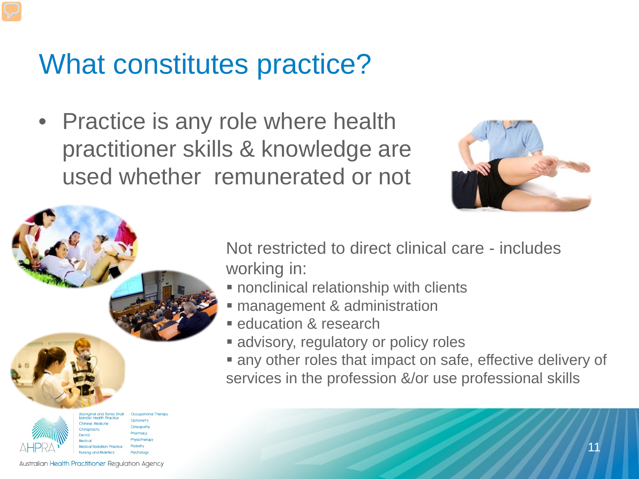#### What constitutes practice?

• Practice is any role where health practitioner skills & knowledge are used whether remunerated or not





Not restricted to direct clinical care - includes working in:

- **nonclinical relationship with clients**
- **Example 2** management & administration
- **E** education & research
- **advisory, regulatory or policy roles**
- any other roles that impact on safe, effective delivery of services in the profession &/or use professional skills

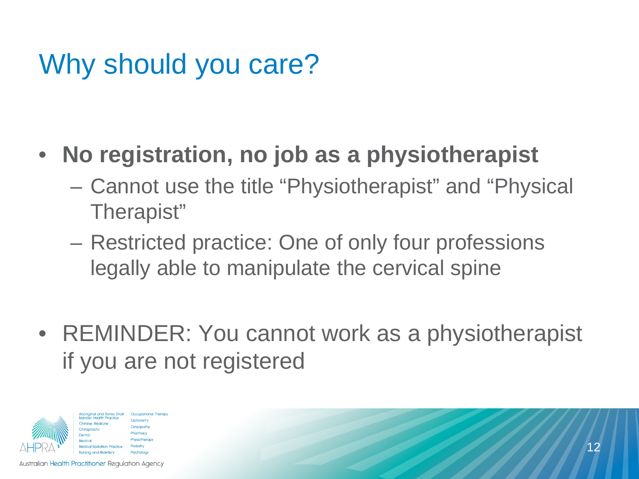### Why should you care?

#### • **No registration, no job as a physiotherapist**

- Cannot use the title "Physiotherapist" and "Physical Therapist"
- Restricted practice: One of only four professions legally able to manipulate the cervical spine
- REMINDER: You cannot work as a physiotherapist if you are not registered

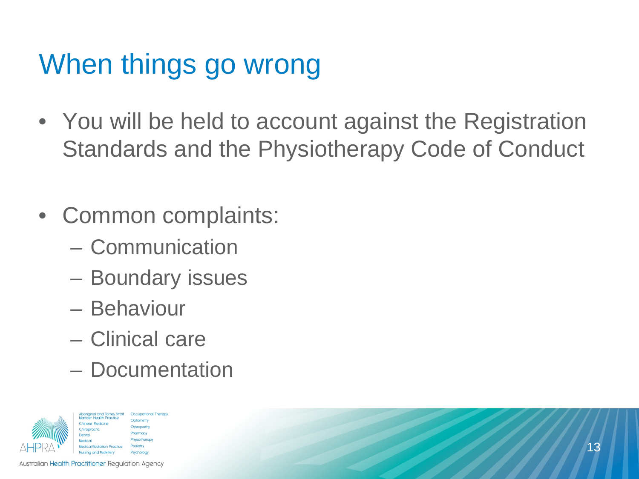## When things go wrong

- You will be held to account against the Registration Standards and the Physiotherapy Code of Conduct
- Common complaints:
	- Communication
	- Boundary issues
	- Behaviour
	- Clinical care
	- Documentation

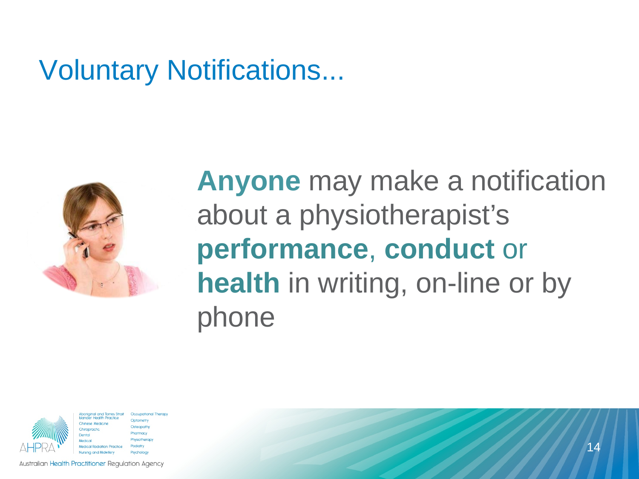#### Voluntary Notifications...



### **Anyone** may make a notification about a physiotherapist's **performance**, **conduct** or **health** in writing, on-line or by phone



**Occupational Therapy** harmacy hysiotherap Psycholog

**Australian Health Practitioner Regulation Agency**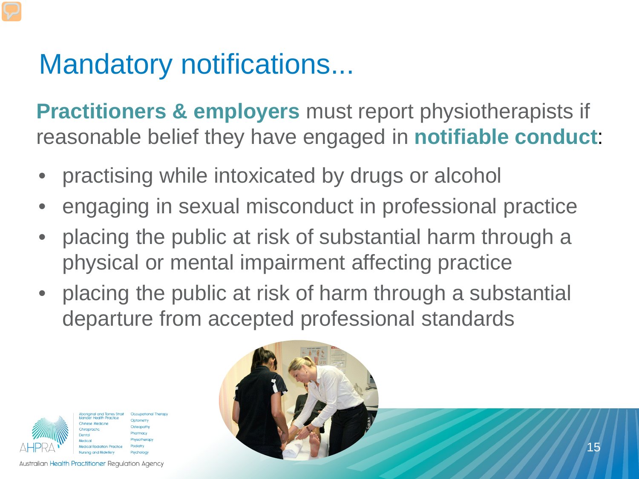### Mandatory notifications...

**Practitioners & employers** must report physiotherapists if reasonable belief they have engaged in **notifiable conduct**:

- practising while intoxicated by drugs or alcohol
- engaging in sexual misconduct in professional practice
- placing the public at risk of substantial harm through a physical or mental impairment affecting practice
- placing the public at risk of harm through a substantial departure from accepted professional standards



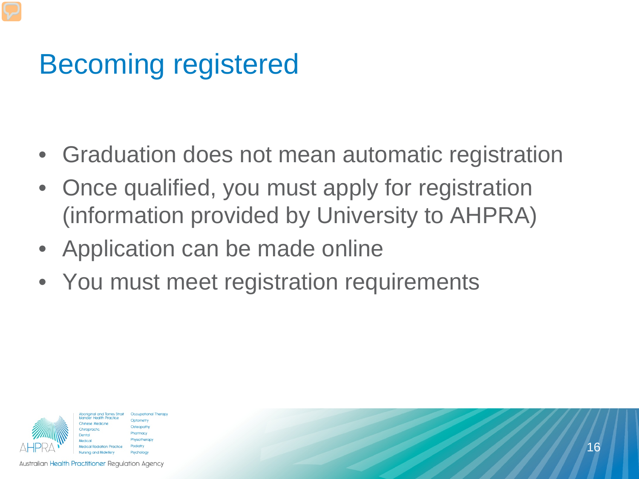## Becoming registered

- Graduation does not mean automatic registration
- Once qualified, you must apply for registration (information provided by University to AHPRA)
- Application can be made online
- You must meet registration requirements



Occupational Therapy Optometry harmacy hysiotherap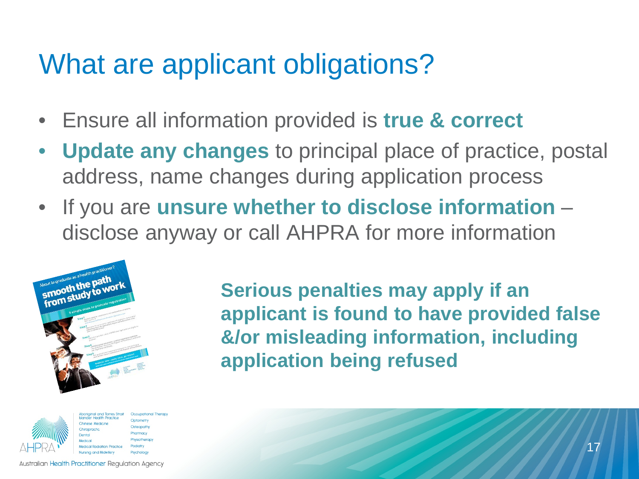### What are applicant obligations?

- Ensure all information provided is **true & correct**
- **Update any changes** to principal place of practice, postal address, name changes during application process
- If you are **unsure whether to disclose information**  disclose anyway or call AHPRA for more information





**Occupational Therapy** Optometry Osteopath Pharmacy hysiotherapy **Podiatry** 

**Serious penalties may apply if an applicant is found to have provided false &/or misleading information, including application being refused**

**Australian Health Practitioner Regulation Agency**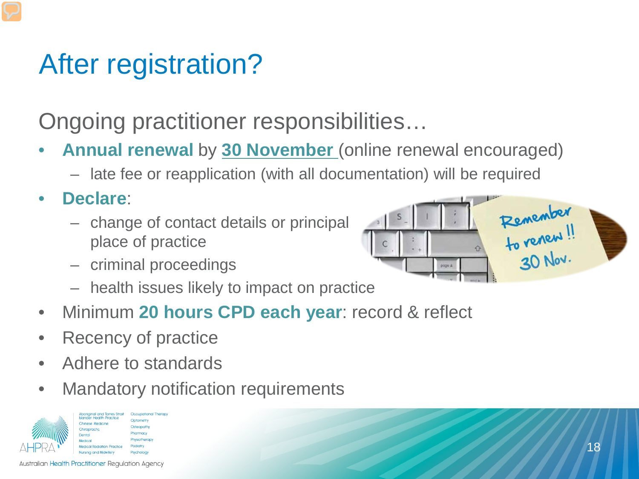### After registration?

Ongoing practitioner responsibilities…

- **Annual renewal** by **30 November** (online renewal encouraged)
	- late fee or reapplication (with all documentation) will be required
- **Declare**:
	- change of contact details or principal place of practice
	- criminal proceedings
	- health issues likely to impact on practice
- Minimum **20 hours CPD each year**: record & reflect
- Recency of practice
- Adhere to standards
- Mandatory notification requirements





**Australian Health Practitioner Regulation Agency**